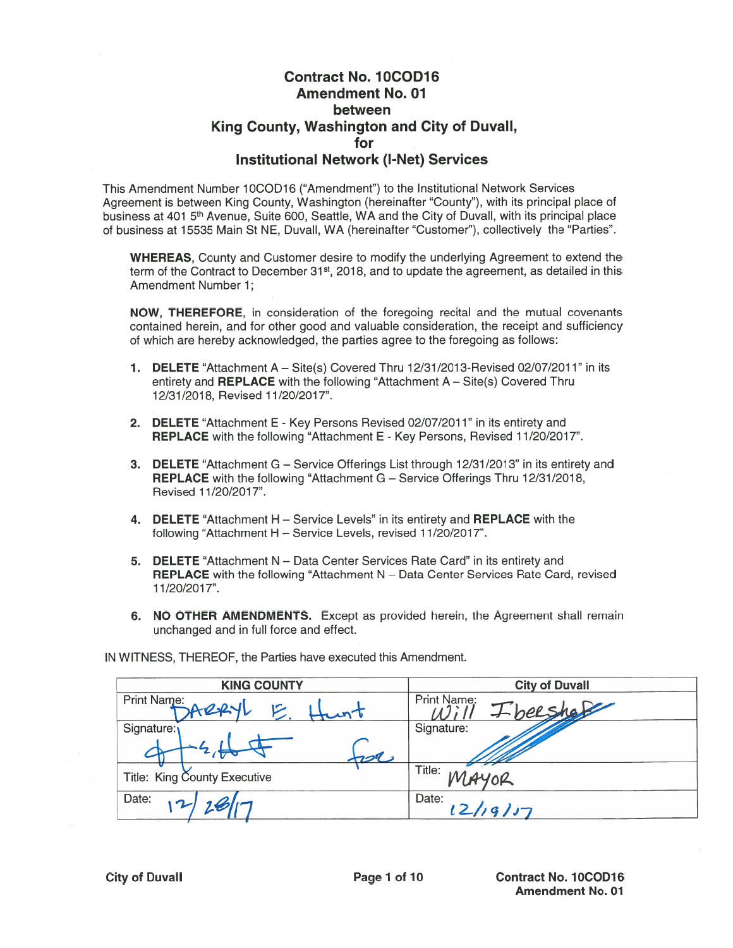## Contract No. 1OCOD16 Amendment No. 01 between King County, Washington and City of Duvall, for Institutional Network (I-Net) Services

This Amendment Number 1OCOD16 ('Amendment") to the Institutional Network Services Agreement is between King County, Washington (hereinafter "County"), with its principal place of business at 401 5<sup>th</sup> Avenue, Suite 600, Seattle, WA and the City of Duvall, with its principal place of business at 15535 Main St NE, Duvall, WA (hereinafter "Customer"), collectively the "Parties".

WHEREAS, County and Customer desire to modify the underlying Agreement to extend the term of the Contract to December 31<sup>st</sup>, 2018, and to update the agreement, as detailed in this Amendment Number 1;

NOW, THEREFORE, in consideration of the foregoing recital and the mutual covenants contained herein, and for other good and valuable consideration, the receipt and sufficiency of which are hereby acknowledged, the parties agree to the foregoing as follows:

- 1. DELETE "Attachment A Site(s) Covered Thru 12/31/2013-Revised 02/07/2011" in its entirety and **REPLACE** with the following "Attachment  $A - \text{Site}(s)$  Covered Thru 12/31/2018, Revised 11/20/2017".
- 2. DELETE "Attachment E Key Persons Revised 02/07/2011" in its entirety and REPLACE with the following "Attachment E - Key Persons, Revised 11/20/2017".
- 3. DELETE "Attachment G Service Offerings List through 12/31/2013" in its entirety and REPLACE with the following "Attachment G - Service Offerings Thru 12/31/2018, Revised 11/20/2017".
- 4. **DELETE** "Attachment H Service Levels" in its entirety and **REPLACE** with the following "Attachment H — Service Levels, revised 1 1/20/2017".
- 5. DELETE "Attachment N Data Center Services Rate Card" in its entirety and REPLACE with the following "Attachment N — Data Center Services Rate Card, revised 1 1/20/2017".
- 6. NO OTHER AMENDMENTS. Except as provided herein, the Agreement shall remain unchanged and in full force and effect.

IN WITNESS, THEREOF, the Parties have executed this Amendment.

| <b>KING COUNTY</b>           | <b>City of Duvall</b>   |
|------------------------------|-------------------------|
| Print Name:<br>2001          | Print Name:<br>Lbeeshof |
| Signature:                   | Signature:              |
| 200                          |                         |
| Title: King County Executive | Title:<br>0R            |
| Date:                        | Date:<br>12/19117       |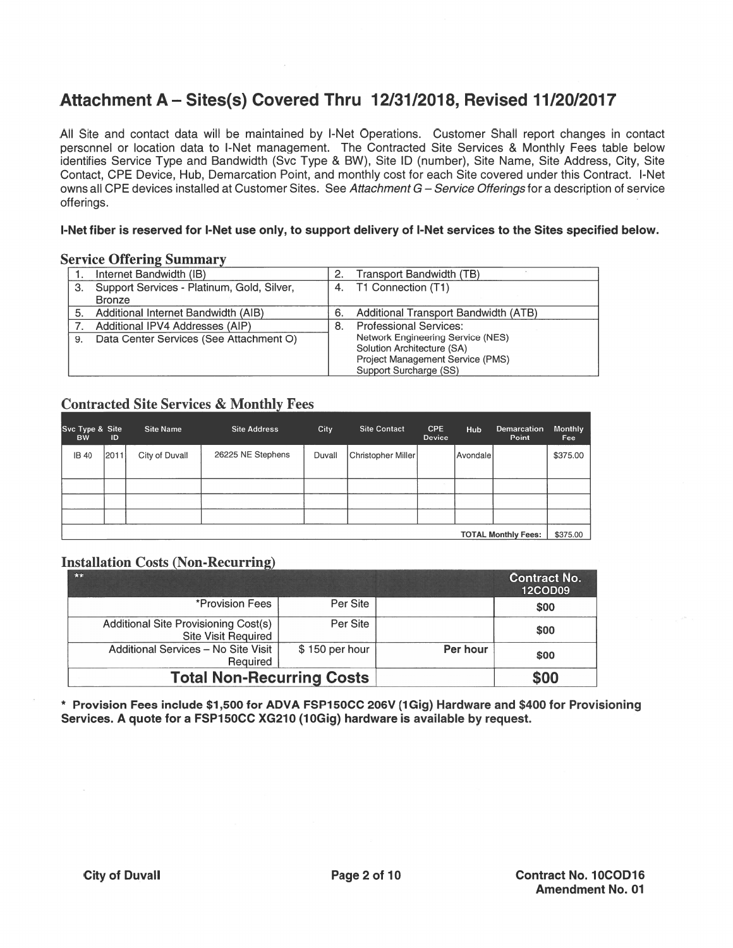# Attachment A — Sites(s) Coveted Thtu 12/31/2018, Revised 11/20/2017

All Site and contact data will be maintained by I-Net Operations. Customer Shall repor<sup>t</sup> changes in contact personnel or location data to I-Net management. The Contracted Site Services & Monthly Fees table below identifies Service Type and Bandwidth (Svc Type & BW), Site ID (number), Site Name, Site Address, City, Site Contact, CPE Device, Hub, Demarcation Point, and monthly cost for each Site covered under this Contract. I-Net owns all CPE devices installed at Customer Sites. See Attachment G - Service Offerings for a description of service offerings.

#### I-Net fiber is reserved for I-Net use only, to suppor<sup>t</sup> delivery of I-Net services to the Sites specified below.

## **Service Offering Summary**

|    | Internet Bandwidth (IB)                    | 2. | Transport Bandwidth (TB)             |
|----|--------------------------------------------|----|--------------------------------------|
| З. | Support Services - Platinum, Gold, Silver, |    | 4. T1 Connection (T1)                |
|    | <b>Bronze</b>                              |    |                                      |
|    | Additional Internet Bandwidth (AIB)        | 6. | Additional Transport Bandwidth (ATB) |
|    | Additional IPV4 Addresses (AIP)            | 8. | <b>Professional Services:</b>        |
| 9. | Data Center Services (See Attachment O)    |    | Network Engineering Service (NES)    |
|    |                                            |    | Solution Architecture (SA)           |
|    |                                            |    | Project Management Service (PMS)     |
|    |                                            |    | Support Surcharge (SS)               |

### **Contracted Site Services & Monthly Fees**

| Svc Type & Site<br><b>BW</b> | ID   | <b>Site Name</b> | <b>Site Address</b> | City     | <b>Site Contact</b> | <b>CPE</b><br>Device | Hub      | Demarcation<br>Point | <b>Monthly</b><br>Fee |
|------------------------------|------|------------------|---------------------|----------|---------------------|----------------------|----------|----------------------|-----------------------|
| <b>IB 40</b>                 | 2011 | City of Duvall   | 26225 NE Stephens   | Duvall   | Christopher Miller  |                      | Avondale |                      | \$375.00              |
|                              |      |                  |                     |          |                     |                      |          |                      |                       |
|                              |      |                  |                     |          |                     |                      |          |                      |                       |
|                              |      |                  |                     |          |                     |                      |          |                      |                       |
|                              |      |                  |                     |          |                     |                      |          |                      |                       |
| <b>TOTAL Monthly Fees:</b>   |      |                  |                     | \$375.00 |                     |                      |          |                      |                       |

## **Installation Costs (Non-Recurring)**

| $*$                                                         |                |          | <b>Contract No.</b><br><b>12COD09</b> |
|-------------------------------------------------------------|----------------|----------|---------------------------------------|
| *Provision Fees                                             | Per Site       |          | \$00                                  |
| Additional Site Provisioning Cost(s)<br>Site Visit Required | Per Site       |          | \$00                                  |
| Additional Services - No Site Visit<br>Required             | \$150 per hour | Per hour | \$00                                  |
| <b>Total Non-Recurring Costs</b>                            |                |          | \$00                                  |

\* Provision Fees include \$1,500 for ADVA FSP15OCC 206V (iGig) Hardware and \$400 for Provisioning Services. A quote for a FSP150CC XG210 (10Gig) hardware is available by request.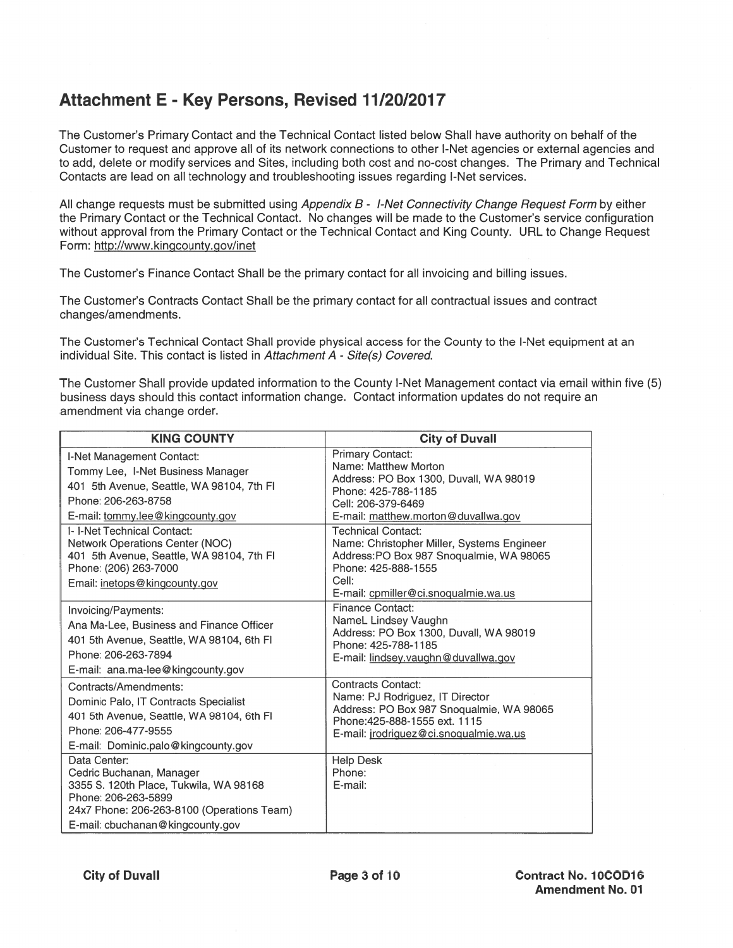# Attachment E - Key Persons, Revised 11/20/2017

The Customer's Primary Contact and the Technical Contact listed below Shall have authority on behalf of the Customer to reques<sup>t</sup> and approve all of its network connections to other I-Net agencies or external agencies and to add, delete or modify services and Sites, including both cost and no-cost changes. The Primary and Technical Contacts are lead on all technology and troubleshooting issues regarding I-Net services.

All change requests must be submitted using Appendix B - I-Net Connectivity Change Request Form by either the Primary Contact or the Technical Contact. No changes will be made to the Customer's service configuration without approval from the Primary Contact or the Technical Contact and King County. URL to Change Request Form: http://www.kingcounty.gov/inet

The Customer's Finance Contact Shall be the primary contact for all invoicing and billing issues.

The Customer's Contracts Contact Shall be the primary contact for all contractual issues and contract changes/amendments.

The Customer's Technical Contact Shall provide physical access for the County to the I-Net equipment at an individual Site. This contact is listed in Attachment  $A$  - Site(s) Covered.

The Customer Shall provide updated information to the County I-Net Management contact via email within five (5) business days should this contact information change. Contact information updates do not require an amendment via change order.

| <b>KING COUNTY</b>                                                                                                                                                                                    | <b>City of Duvall</b>                                                                                                                                                                                      |
|-------------------------------------------------------------------------------------------------------------------------------------------------------------------------------------------------------|------------------------------------------------------------------------------------------------------------------------------------------------------------------------------------------------------------|
| I-Net Management Contact:<br>Tommy Lee, I-Net Business Manager<br>401 5th Avenue, Seattle, WA 98104, 7th FI<br>Phone: 206-263-8758<br>E-mail: tommy.lee@kingcounty.gov<br>I- I-Net Technical Contact: | <b>Primary Contact:</b><br>Name: Matthew Morton<br>Address: PO Box 1300, Duvall, WA 98019<br>Phone: 425-788-1185<br>Cell: 206-379-6469<br>E-mail: matthew.morton@duvallwa.gov<br><b>Technical Contact:</b> |
| Network Operations Center (NOC)<br>401 5th Avenue, Seattle, WA 98104, 7th FI<br>Phone: (206) 263-7000<br>Email: inetops@kingcounty.gov                                                                | Name: Christopher Miller, Systems Engineer<br>Address: PO Box 987 Snoqualmie, WA 98065<br>Phone: 425-888-1555<br>Cell:<br>E-mail: cpmiller@ci.snoqualmie.wa.us                                             |
| Invoicing/Payments:<br>Ana Ma-Lee, Business and Finance Officer<br>401 5th Avenue, Seattle, WA 98104, 6th FI<br>Phone: 206-263-7894<br>E-mail: ana.ma-lee@kingcounty.gov                              | Finance Contact:<br>NameL Lindsey Vaughn<br>Address: PO Box 1300, Duvall, WA 98019<br>Phone: 425-788-1185<br>E-mail: lindsey.vaughn@duvallwa.gov                                                           |
| Contracts/Amendments:<br>Dominic Palo, IT Contracts Specialist<br>401 5th Avenue, Seattle, WA 98104, 6th FI<br>Phone: 206-477-9555<br>E-mail: Dominic.palo@kingcounty.gov                             | Contracts Contact:<br>Name: PJ Rodriguez, IT Director<br>Address: PO Box 987 Snoqualmie, WA 98065<br>Phone: 425-888-1555 ext. 1115<br>E-mail: jrodriguez@ci.snoqualmie.wa.us                               |
| Data Center:<br>Cedric Buchanan, Manager<br>3355 S. 120th Place, Tukwila, WA 98168<br>Phone: 206-263-5899<br>24x7 Phone: 206-263-8100 (Operations Team)<br>E-mail: cbuchanan@kingcounty.gov           | <b>Help Desk</b><br>Phone:<br>E-mail:                                                                                                                                                                      |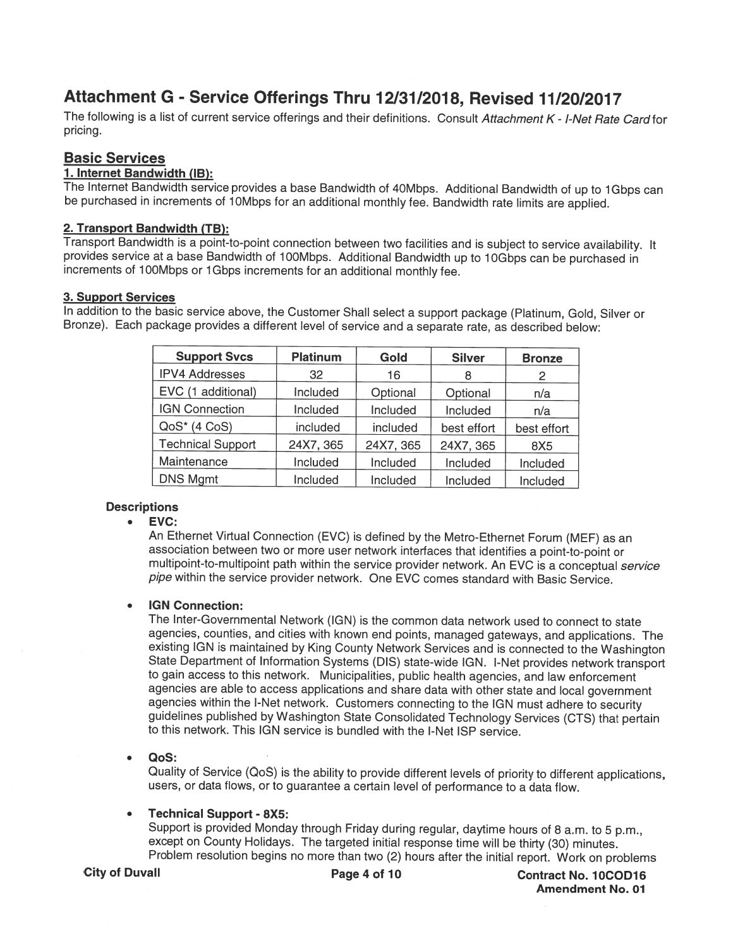# Attachment G - Service Offerings Thru 12/31/2018, Revised 11/20/2017

The following is a list of current service offerings and their definitions. Consult Attachment K - I-Net Rate Card for pricing.

## Basic Services

<u>1. Internet Bandwidth (IB):</u><br>The Internet Bandwidth service provides a base Bandwidth of 40Mbps. Additional Bandwidth of up to 1Gbps can be purchased in increments of 10Mbps for an additional monthly fee. Bandwidth rate limits are applied.

#### 2. Transport Bandwidth (TB):

Transport Bandwidth is <sup>a</sup> point-to-point connection between two facilities and is subject to service availability. It provides service at a base Bandwidth of 100Mbps. Additional Bandwidth up to 10Gbps can be purchased in increments of 100Mbps or 1 Gbps increments for an additional monthly fee.

#### 3. Support Services

In addition to the basic service above, the Customer Shall select <sup>a</sup> support package (Platinum, Gold, Silver or Bronze). Each package provides <sup>a</sup> different level of service and <sup>a</sup> separate rate, as described below:

| <b>Support Svcs</b>      | <b>Platinum</b> | Gold      | <b>Silver</b> | <b>Bronze</b> |
|--------------------------|-----------------|-----------|---------------|---------------|
| <b>IPV4 Addresses</b>    | 32              | 16        |               | 2             |
| EVC (1 additional)       | Included        | Optional  | Optional      | n/a           |
| <b>IGN Connection</b>    | Included        | Included  | Included      | n/a           |
| $QoS*$ (4 $CoS$ )        | included        | included  | best effort   | best effort   |
| <b>Technical Support</b> | 24X7, 365       | 24X7, 365 | 24X7, 365     | 8X5           |
| Maintenance              | Included        | Included  | Included      | Included      |
| <b>DNS Mgmt</b>          | Included        | Included  | Included      | Included      |

### **Descriptions**

#### EVC:  $\bullet$

An Ethernet Virtual Connection (EVC) is defined by the Metro-Ethernet Forum (MEF) as an association between two or more user network interlaces that identifies <sup>a</sup> point-to-point or multipoint-to-multipoint path within the service provider network. An EVC is a conceptual service <sup>p</sup>ipe within the service provider network. One EVC comes standard with Basic Service.

### IGN Connection:

The Inter-Governmental Network (IGN) is the common data network used to connect to state agencies, counties, and cities with known end points, managed gateways, and applications. The existing IGN is maintained by King County Network Services and is connected to the Washington State Department of Information Systems (DIS) state-wide IGN. I-Net provides network transport to gain access to this network. Municipalities, public health agencies, and law enforcement agencies are able to access applications and share data with other state and local government agencies within the I-Net network. Customers connecting to the IGN must adhere to security guidelines published by Washington State Consolidated Technology Services (CTS) that pertain to this network. This IGN service is bundled with the I-Net ISP service.

#### QoS:

Quality of Service (QoS) is the ability to provide different levels of priority to different applications, users, or data flows, or to guarantee <sup>a</sup> certain level of performance to <sup>a</sup> data flow.

#### Technical Support - 8X5:

Support is provided Monday through Friday during regular, daytime hours of <sup>8</sup> a.m. to <sup>5</sup> p.m., except on County Holidays. The targeted initial response time will be thirty (30) minutes. Problem resolution begins no more than two (2) hours after the initial report. Work on problems

City of Duvall **City of Duvall** Page 4 of 10 Contract No. 10COD16 Amendment No. 01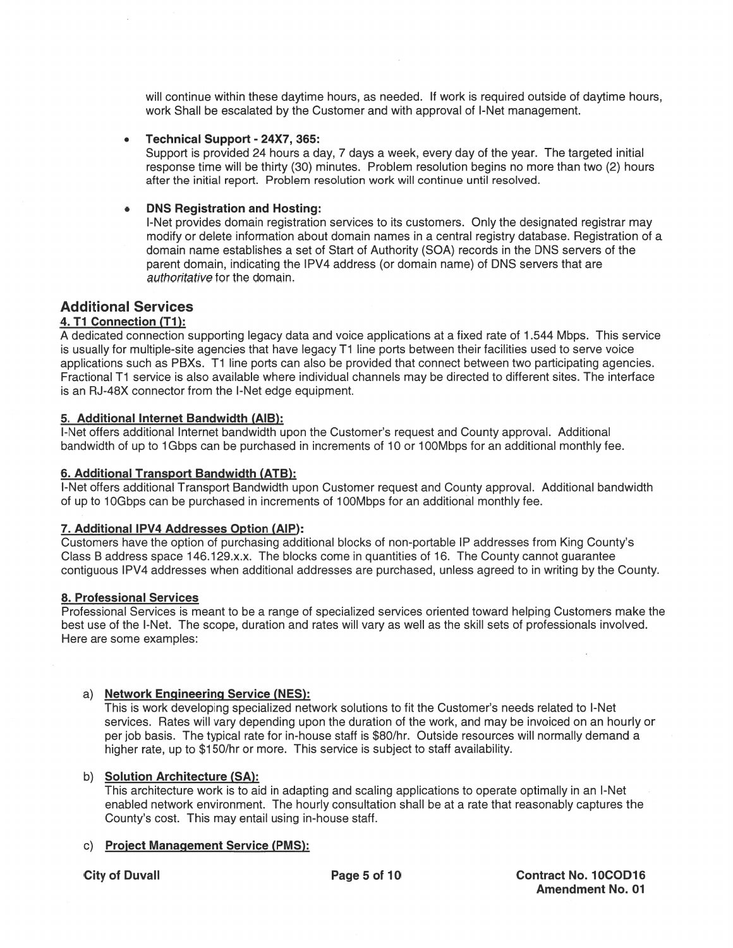will continue within these daytime hours, as needed. If work is required outside of daytime hours, work Shall be escalated by the Customer and with approval of I-Net management.

#### . Technical Support - 24X7, 365:

Support is provided 24 hours a day, 7 days a week, every day of the year. The targeted initial response time will be thirty (30) minutes. Problem resolution begins no more than two (2) hours after the initial report. Problem resolution work will continue until resolved.

#### . DNS Registration and Hosting:

I-Net provides domain registration services to its customers. Only the designated registrar may modify or delete information about domain names in <sup>a</sup> central registry database. Registration of <sup>a</sup> domain name establishes <sup>a</sup> set of Start of Authority (SOA) records in the DNS servers of the paren<sup>t</sup> domain, indicating the IPV4 address (or domain name) of DNS servers that are authoritative for the domain.

### Additional Services

#### 4. T1 Connection (T1):

A dedicated connection supporting legacy data and voice applications at <sup>a</sup> fixed rate of 1 .544 Mbps. This service is usually for multiple-site agencies that have legacy T1 line ports between their facilities used to serve voice applications such as PBXs. TI line ports can also be provided that connect between two participating agencies. Fractional T1 service is also available where individual channels may be directed to different sites. The interface is an RJ-48X connector from the I-Net edge equipment.

### 5. Additional Internet Bandwidth (AIB):

I-Net offers additional Internet bandwidth upon the Customer's reques<sup>t</sup> and County approval. Additional bandwidth of up to 1Gbps can be purchased in increments of 10 or 100Mbps for an additional monthly fee.

#### 6. Additional Transport Bandwidth (ATB):

I-Net offers additional Transport Bandwidth upon Customer reques<sup>t</sup> and County approval. Additional bandwidth of up to 1 0Gbps can be purchased in increments of 1 00Mbps for an additional monthly fee.

#### 7. Additional IPV4 Addresses Option (AlP):

Customers have the option of purchasing additional blocks of non-portable IP addresses from King County's Class B address space 146.129.x.x. The blocks come in quantities of 16. The County cannot quarantee contiguous IPV4 addresses when additional addresses are purchased, unless agreed to in writing by the County.

#### 8. Professional Services

Professional Services is meant to be <sup>a</sup> range of specialized services oriented toward helping Customers make the best use of the I-Net. The scope, duration and rates will vary as well as the skill sets of professionals involved. Here are some examples:

#### a) Network Engineering Service (NES):

This is work developing specialized network solutions to fit the Customer's needs related to I-Net services. Rates will vary depending upon the duration of the work, and may be invoiced on an hourly or per job basis. The typical rate for in-house staff is \$80/hr. Outside resources will normally demand <sup>a</sup> higher rate, up to \$150/hr or more. This service is subject to staff availability.

#### b) Solution Architecture (SA):

This architecture work is to aid in adapting and scaling applications to operate optimally in an I-Net enabled network environment. The hourly consultation shall be at <sup>a</sup> rate that reasonably captures the County's cost. This may entail using in-house staff.

#### c) Project Management Service (PMS):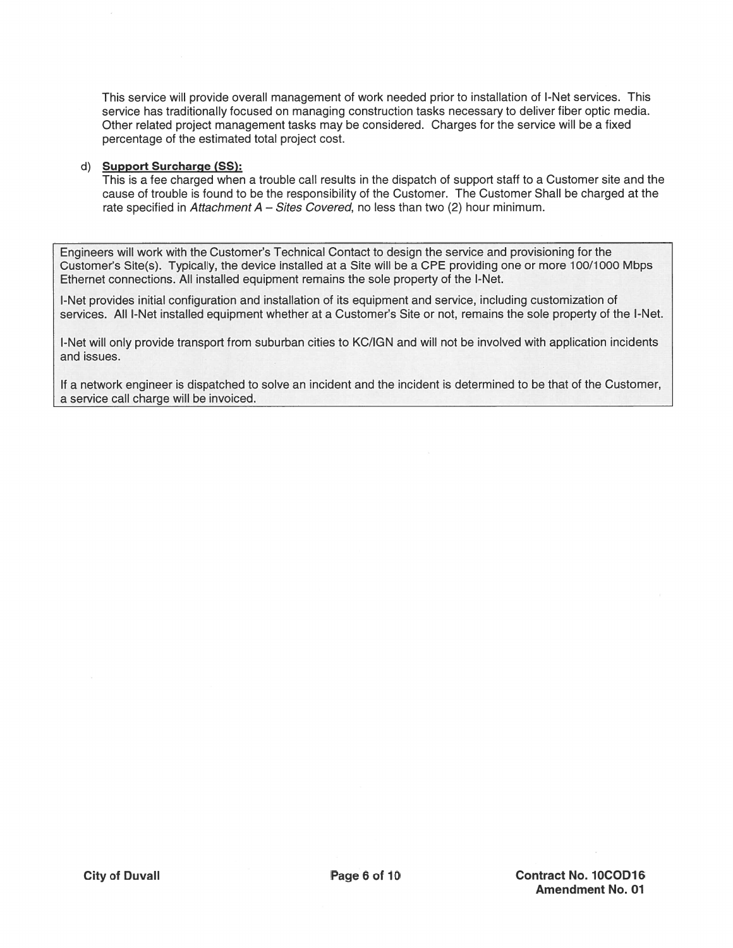This service will provide overall management of work needed prior to installation of I-Net services. This service has traditionally focused on managing construction tasks necessary to deliver fiber optic media. Other related project management tasks may be considered. Charges for the service will be a fixed percentage of the estimated total project cost.

#### d) Support Surcharge (SS):

This is a fee charged when a trouble call results in the dispatch of support staff to a Customer site and the cause of trouble is found to be the responsibility of the Customer. The Customer Shall be charged at the rate specified in Attachment  $A - S$ ites Covered, no less than two (2) hour minimum.

Engineers will work with the Customer's Technical Contact to design the service and provisioning for the Customer's Site(s). Typically, the device installed at a Site will be a CPE providing one or more 100/1000 Mbps Ethernet connections. All installed equipment remains the sole property of the I-Net.

I-Net provides initial configuration and installation of its equipment and service, including customization of services. All I-Net installed equipment whether at a Customer's Site or not, remains the sole property of the I-Net.

I-Net will only provide transport from suburban cities to KC/IGN and will not be involved with application incidents and issues.

If a network engineer is dispatched to solve an incident and the incident is determined to be that of the Customer, a service call charge will be invoiced.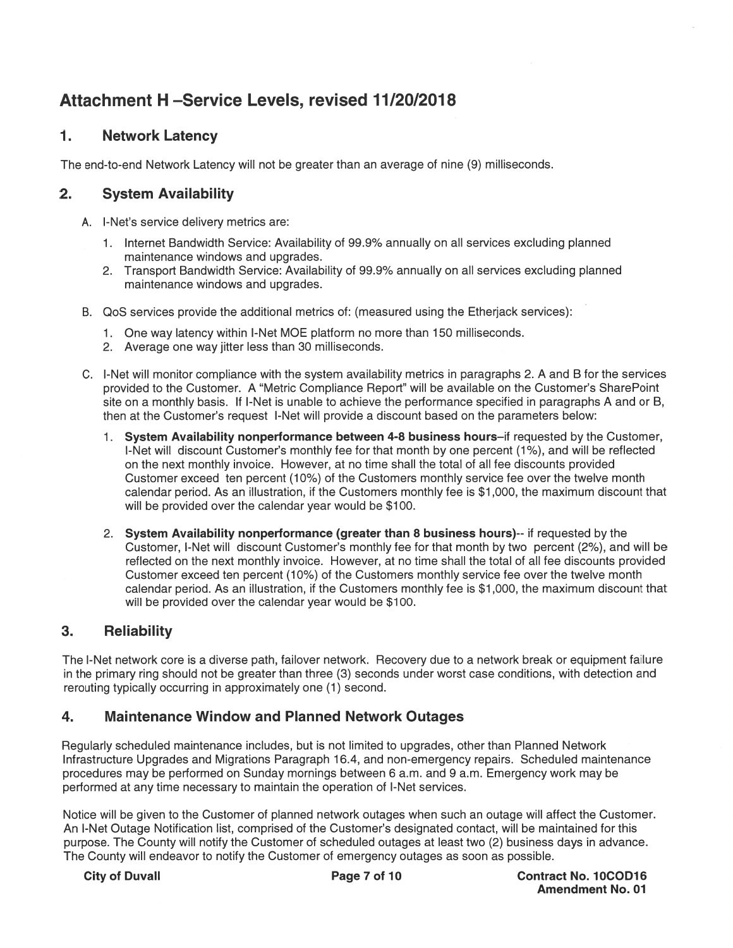# Attachment H —Service Levels, revised 11/20/2018

# 1. Network Latency

The end-to-end Network Latency will not be greater than an average of nine (9) milliseconds.

# 2. System Availability

- A. I-Net's service delivery metrics are:
	- 1 . Internet Bandwidth Service: Availability of 99.9% annually on all services excluding planned maintenance windows and upgrades.
	- 2. Transport Bandwidth Service: Availability of 99.9% annually on all services excluding planned maintenance windows and upgrades.
- B. QoS services provide the additional metrics of: (measured using the Etherjack services):
	- 1 . One way latency within I-Net MOE platform no more than 1 50 milliseconds.
	- 2. Average one way jitter less than 30 milliseconds.
- C. I-Net will monitor compliance with the system availability metrics in paragraphs 2. A and B for the services provided to the Customer. A "Metric Compliance Report" will be available on the Customer's SharePoint site on <sup>a</sup> monthly basis. If I-Net is unable to achieve the performance specified in paragraphs A and or B, then at the Customer's reques<sup>t</sup> I-Net will provide <sup>a</sup> discount based on the parameters below:
	- 1. System Availability nonperformance between 4-8 business hours–if requested by the Customer, I-Net will discount Customer's monthly fee for that month by one percent (1%), and will be reflected on the next monthly invoice. However, at no time shall the total of all fee discounts provided Customer exceed ten percent (10%) of the Customers monthly service fee over the twelve month calendar period. As an illustration, if the Customers monthly fee is \$1 000, the maximum discount that will be provided over the calendar year would be \$100.
	- 2. System Availability nonperformance (greater than 8 business hours)-- if requested by the Customer, I-Net will discount Customer's monthly fee for that month by two percen<sup>t</sup> (2%), and will be reflected on the next monthly invoice. However, at no time shall the total of all fee discounts provided Customer exceed ten percent (10%) of the Customers monthly service fee over the twelve month calendar period. As an illustration, if the Customers monthly fee is \$1 000, the maximum discount that will be provided over the calendar year would be \$100.

# 3. Reliability

The I-Net network core is <sup>a</sup> diverse path, failover network. Recovery due to <sup>a</sup> network break or equipment failure in the primary ring should not be greater than three (3) seconds under worst case conditions, with detection and rerouting typically occurring in approximately one (1) second.

# 4. Maintenance Window and Planned Network Outages

Regularly scheduled maintenance includes, but is not limited to upgrades, other than Planned Network Infrastructure Upgrades and Migrations Paragraph 16.4, and non-emergency repairs. Scheduled maintenance procedures may be performed on Sunday mornings between 6 a.m. and 9 a.m. Emergency work may be performed at any time necessary to maintain the operation of I-Net services.

Notice will be given to the Customer of planned network outages when such an outage will affect the Customer. An I-Net Outage Notification list, comprised of the Customer's designated contact, will be maintained for this purpose. The County will notify the Customer of scheduled outages at least two (2) business days in advance. The County will endeavor to notify the Customer of emergency outages as soon as possible.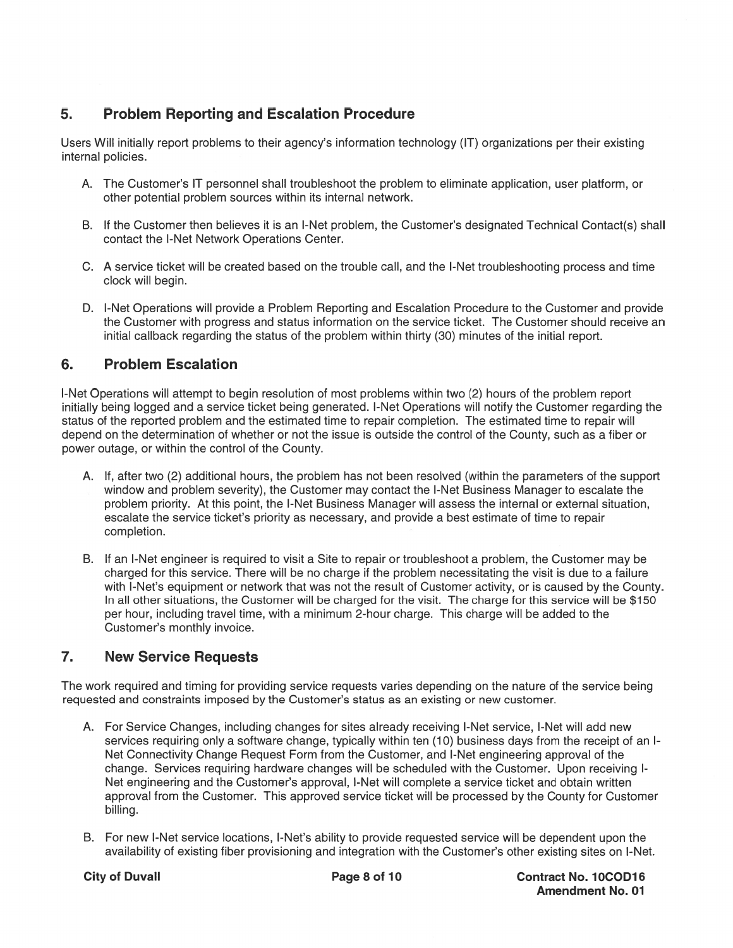# 5. Problem Reporting and Escalation Procedure

Users Will initially repor<sup>t</sup> problems to their agency's information technology (IT) organizations per their existing internal policies.

- A. The Customer's IT personnel shall troubleshoot the problem to eliminate application, user platform, or other potential problem sources within its internal network.
- B. If the Customer then believes it is an I-Net problem, the Customer's designated Technical Contact(s) shall contact the I-Net Network Operations Center.
- C. A service ticket will be created based on the trouble call, and the I-Net troubleshooting process and time clock will begin.
- D. I-Net Operations will provide <sup>a</sup> Problem Reporting and Escalation Procedure to the Customer and provide the Customer with progress and status information on the service ticket. The Customer should receive an initial callback regarding the status of the problem within thirty (30) minutes of the initial report.

# 6. Problem Escalation

I-Net Operations will attempt to begin resolution of most problems within two (2) hours of the problem repor<sup>t</sup> initially being logged and <sup>a</sup> service ticket being generated. I-Net Operations will notify the Customer regarding the status of the reported problem and the estimated time to repair completion. The estimated time to repair will depend on the determination of whether or not the issue is outside the control of the County, such as <sup>a</sup> fiber or power outage, or within the control of the County.

- A. If, after two (2) additional hours, the problem has not been resolved (within the parameters of the suppor<sup>t</sup> window and problem severity), the Customer may contact the I-Net Business Manager to escalate the problem priority. At this point, the I-Net Business Manager will assess the internal or external situation, escalate the service ticket's priority as necessary, and provide <sup>a</sup> best estimate of time to repair completion.
- B. If an I-Net engineer is required to visit <sup>a</sup> Site to repair or troubleshoot <sup>a</sup> problem, the Customer may be charged for this service. There will be no charge if the problem necessitating the visit is due to <sup>a</sup> failure with I-Net's equipment or network that was not the result of Customer activity, or is caused by the County. In all other situations, the Customer will be charged for the visit. The charge for this service will be \$150 per hour, including travel time, with <sup>a</sup> minimum 2-hour charge. This charge will be added to the Customer's monthly invoice.

# 7. New Service Requests

The work required and timing for providing service requests varies depending on the nature of the service being requested and constraints imposed by the Customer's status as an existing or new customer.

- A. For Service Changes, including changes for sites already receiving I-Net service, I-Net will add new services requiring only a software change, typically within ten (10) business days from the receipt of an I-Net Connectivity Change Request Form from the Customer, and I-Net engineering approval of the change. Services requiring hardware changes will be scheduled with the Customer. Upon receiving I-Net engineering and the Customer's approval, I-Net will complete <sup>a</sup> service ticket and obtain written approval from the Customer. This approved service ticket will be processed by the County for Customer billing.
- B. For new I-Net service locations, I-Net's ability to provide requested service will be dependent upon the availability of existing fiber provisioning and integration with the Customer's other existing sites on I-Net.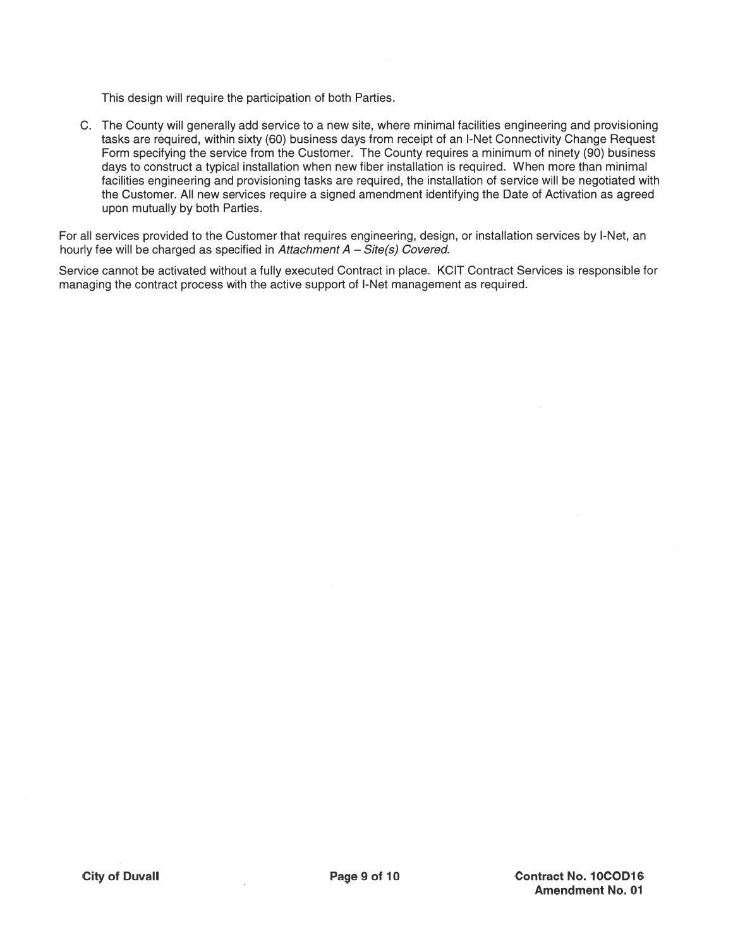This design will require the participation of both Parties.

C. The County will generally add service to a new site, where minimal facilities engineering and provisioning tasks are required, within sixty (60) business days from receipt of an I-Net Connectivity Change Request Form specifying the service from the Customer. The County requires a minimum of ninety (90) business days to construct a typical installation when new fiber installation is required. When more than minimal facilities engineering and provisioning tasks are required, the installation of service will be negotiated with the Customer. All new services require a signed amendment identifying the Date of Activation as agreed upon mutually by both Parties.

For all services provided to the Customer that requires engineering, design, or installation services by I-Net, an hourly fee will be charged as specified in Attachment  $A - Site(s)$  Covered.

Service cannot be activated without a fully executed Contract in place. KCIT Contract Services is responsible for managing the contract process with the active support of I-Net management as required.